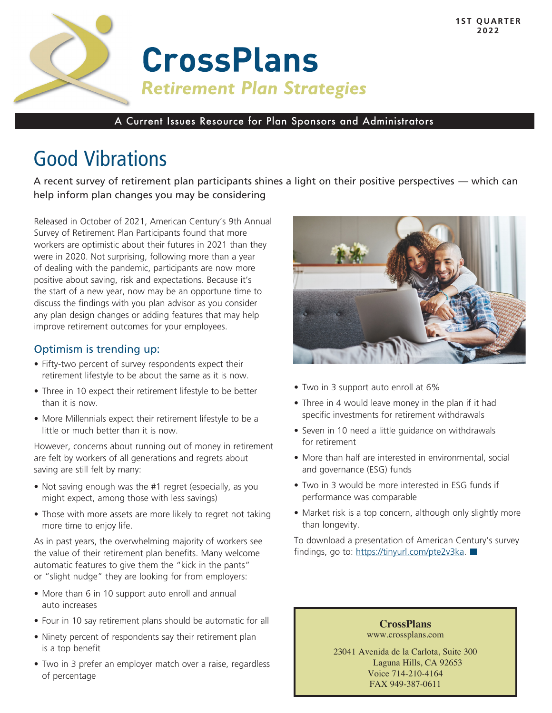

A Current Issues Resource for Plan Sponsors and Administrators

# Good Vibrations

A recent survey of retirement plan participants shines a light on their positive perspectives — which can help inform plan changes you may be considering

Released in October of 2021, American Century's 9th Annual Survey of Retirement Plan Participants found that more workers are optimistic about their futures in 2021 than they were in 2020. Not surprising, following more than a year of dealing with the pandemic, participants are now more positive about saving, risk and expectations. Because it's the start of a new year, now may be an opportune time to discuss the findings with you plan advisor as you consider any plan design changes or adding features that may help improve retirement outcomes for your employees.

## Optimism is trending up:

- Fifty-two percent of survey respondents expect their retirement lifestyle to be about the same as it is now.
- Three in 10 expect their retirement lifestyle to be better than it is now.
- More Millennials expect their retirement lifestyle to be a little or much better than it is now.

However, concerns about running out of money in retirement are felt by workers of all generations and regrets about saving are still felt by many:

- Not saving enough was the #1 regret (especially, as you might expect, among those with less savings)
- Those with more assets are more likely to regret not taking more time to enjoy life.

As in past years, the overwhelming majority of workers see the value of their retirement plan benefits. Many welcome automatic features to give them the "kick in the pants" or "slight nudge" they are looking for from employers:

- More than 6 in 10 support auto enroll and annual auto increases
- Four in 10 say retirement plans should be automatic for all
- Ninety percent of respondents say their retirement plan is a top benefit
- Two in 3 prefer an employer match over a raise, regardless of percentage



- Two in 3 support auto enroll at 6%
- Three in 4 would leave money in the plan if it had specific investments for retirement withdrawals
- Seven in 10 need a little guidance on withdrawals for retirement
- More than half are interested in environmental, social and governance (ESG) funds
- Two in 3 would be more interested in ESG funds if performance was comparable
- Market risk is a top concern, although only slightly more than longevity.

To download a presentation of American Century's survey findings, go to: https://tinyurl.com/pte2v3ka.

> **CrossPlans** www.crossplans.com

23041 Avenida de la Carlota, Suite 300 Laguna Hills, CA 92653 Voice 714-210-4164 FAX 949-387-0611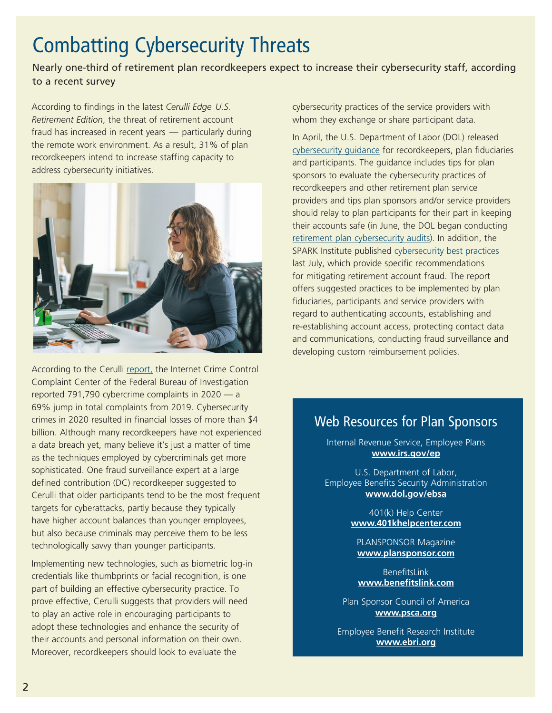# Combatting Cybersecurity Threats

Nearly one-third of retirement plan recordkeepers expect to increase their cybersecurity staff, according to a recent survey

According to findings in the latest *Cerulli Edge U.S. Retirement Edition*, the threat of retirement account fraud has increased in recent years — particularly during the remote work environment. As a result, 31% of plan recordkeepers intend to increase staffing capacity to address cybersecurity initiatives.



According to the Cerulli report, the Internet Crime Control Complaint Center of the Federal Bureau of Investigation reported 791,790 cybercrime complaints in 2020 — a 69% jump in total complaints from 2019. Cybersecurity crimes in 2020 resulted in financial losses of more than \$4 billion. Although many recordkeepers have not experienced a data breach yet, many believe it's just a matter of time as the techniques employed by cybercriminals get more sophisticated. One fraud surveillance expert at a large defined contribution (DC) recordkeeper suggested to Cerulli that older participants tend to be the most frequent targets for cyberattacks, partly because they typically have higher account balances than younger employees, but also because criminals may perceive them to be less technologically savvy than younger participants.

Implementing new technologies, such as biometric log-in credentials like thumbprints or facial recognition, is one part of building an effective cybersecurity practice. To prove effective, Cerulli suggests that providers will need to play an active role in encouraging participants to adopt these technologies and enhance the security of their accounts and personal information on their own. Moreover, recordkeepers should look to evaluate the

cybersecurity practices of the service providers with whom they exchange or share participant data.

In April, the U.S. Department of Labor (DOL) released cybersecurity guidance for recordkeepers, plan fiduciaries and participants. The guidance includes tips for plan sponsors to evaluate the cybersecurity practices of recordkeepers and other retirement plan service providers and tips plan sponsors and/or service providers should relay to plan participants for their part in keeping their accounts safe (in June, the DOL began conducting retirement plan cybersecurity audits). In addition, the SPARK Institute published cybersecurity best practices last July, which provide specific recommendations for mitigating retirement account fraud. The report offers suggested practices to be implemented by plan fiduciaries, participants and service providers with regard to authenticating accounts, establishing and re-establishing account access, protecting contact data and communications, conducting fraud surveillance and developing custom reimbursement policies.

## Web Resources for Plan Sponsors

Internal Revenue Service, Employee Plans **www.irs.gov/ep**

U.S. Department of Labor, Employee Benefits Security Administration **www.dol.gov/ebsa**

> 401(k) Help Center **www.401khelpcenter.com**

PLANSPONSOR Magazine **www.plansponsor.com**

BenefitsLink **www.benefitslink.com**

Plan Sponsor Council of America **www.psca.org**

Employee Benefit Research Institute **www.ebri.org**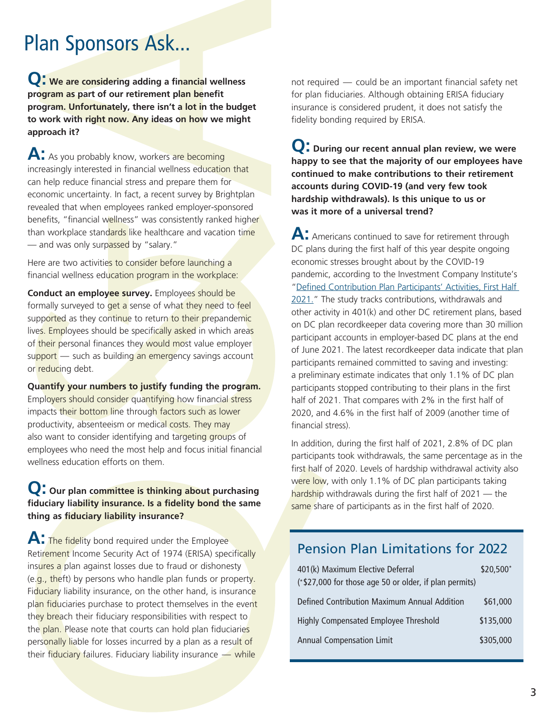Plan Sponsors Ask...

**Q: We are considering adding a financial wellness program as part of our retirement plan benefit program. Unfortunately, there isn't a lot in the budget to work with right now. Any ideas on how we might approach it?**

A: As you probably know, workers are becoming increasingly interested in financial wellness education that can help reduce financial stress and prepare them for economic uncertainty. In fact, a recent survey by Brightplan revealed that when employees ranked employer-sponsored benefits, "financial wellness" was consistently ranked higher than workplace standards like healthcare and vacation time — and was only surpassed by "salary."

Here are two activities to consider before launching a financial wellness education program in the workplace:

**Conduct an employee survey.** Employees should be formally surveyed to get a sense of what they need to feel supported as they continue to return to their prepandemic lives. Employees should be specifically asked in which areas of their personal finances they would most value employer support — such as building an emergency savings account or reducing debt.

**Quantify your numbers to justify funding the program.**  Employers should consider quantifying how financial stress impacts their bottom line through factors such as lower productivity, absenteeism or medical costs. They may also want to consider identifying and targeting groups of employees who need the most help and focus initial financial wellness education efforts on them.

## **Q: Our plan committee is thinking about purchasing fiduciary liability insurance. Is a fidelity bond the same thing as fiduciary liability insurance?**

**A:** The fidelity bond required under the Employee Retirement Income Security Act of 1974 (ERISA) specifically insures a plan against losses due to fraud or dishonesty (e.g., theft) by persons who handle plan funds or property. Fiduciary liability insurance, on the other hand, is insurance plan fiduciaries purchase to protect themselves in the event they breach their fiduciary responsibilities with respect to the plan. Please note that courts can hold plan fiduciaries personally liable for losses incurred by a plan as a result of their fiduciary failures. Fiduciary liability insurance — while

not required — could be an important financial safety net for plan fiduciaries. Although obtaining ERISA fiduciary insurance is considered prudent, it does not satisfy the fidelity bonding required by ERISA.

**Q: During our recent annual plan review, we were happy to see that the majority of our employees have continued to make contributions to their retirement accounts during COVID-19 (and very few took hardship withdrawals). Is this unique to us or was it more of a universal trend?** 

A: Americans continued to save for retirement through DC plans during the first half of this year despite ongoing economic stresses brought about by the COVID-19 pandemic, according to the Investment Company Institute's "Defined Contribution Plan Participants' Activities, First Half 2021." The study tracks contributions, withdrawals and other activity in 401(k) and other DC retirement plans, based on DC plan recordkeeper data covering more than 30 million participant accounts in employer-based DC plans at the end of June 2021. The latest recordkeeper data indicate that plan participants remained committed to saving and investing: a preliminary estimate indicates that only 1.1% of DC plan participants stopped contributing to their plans in the first half of 2021. That compares with 2% in the first half of 2020, and 4.6% in the first half of 2009 (another time of financial stress).

In addition, during the first half of 2021, 2.8% of DC plan participants took withdrawals, the same percentage as in the first half of 2020. Levels of hardship withdrawal activity also were low, with only 1.1% of DC plan participants taking hardship withdrawals during the first half of 2021 — the same share of participants as in the first half of 2020.

## Pension Plan Limitations for 2022

| 401(k) Maximum Elective Deferral<br>(*\$27,000 for those age 50 or older, if plan permits) | \$20,500* |
|--------------------------------------------------------------------------------------------|-----------|
| Defined Contribution Maximum Annual Addition                                               | \$61,000  |
| Highly Compensated Employee Threshold                                                      | \$135,000 |
| <b>Annual Compensation Limit</b>                                                           | \$305,000 |